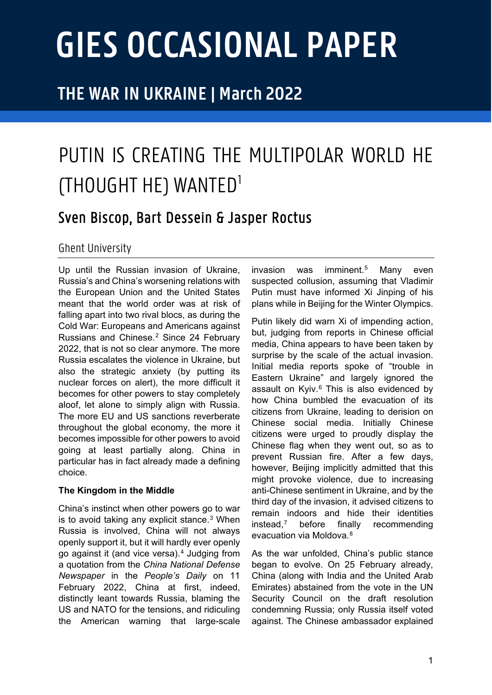# **GIES OCCASIONAL PAPER**

## **THE WAR IN UKRAINE | March 2022**

# PUTIN IS CREATING THE MULTIPOLAR WORLD HE (THOUGHT HE) WANTED[1](#page-4-0)

### Sven Biscop, Bart Dessein & Jasper Roctus

#### Ghent University

Up until the Russian invasion of Ukraine, Russia's and China's worsening relations with the European Union and the United States meant that the world order was at risk of falling apart into two rival blocs, as during the Cold War: Europeans and Americans against Russians and Chinese.[2](#page-4-1) Since 24 February 2022, that is not so clear anymore. The more Russia escalates the violence in Ukraine, but also the strategic anxiety (by putting its nuclear forces on alert), the more difficult it becomes for other powers to stay completely aloof, let alone to simply align with Russia. The more EU and US sanctions reverberate throughout the global economy, the more it becomes impossible for other powers to avoid going at least partially along. China in particular has in fact already made a defining choice.

#### **The Kingdom in the Middle**

China's instinct when other powers go to war is to avoid taking any explicit stance.[3](#page-4-2) When Russia is involved, China will not always openly support it, but it will hardly ever openly go against it (and vice versa).[4](#page-4-3) Judging from a quotation from the *China National Defense Newspaper* in the *People's Daily* on 11 February 2022, China at first, indeed, distinctly leant towards Russia, blaming the US and NATO for the tensions, and ridiculing the American warning that large-scale invasion was imminent.[5](#page-4-4) Many even suspected collusion, assuming that Vladimir Putin must have informed Xi Jinping of his plans while in Beijing for the Winter Olympics.

Putin likely did warn Xi of impending action, but, judging from reports in Chinese official media, China appears to have been taken by surprise by the scale of the actual invasion. Initial media reports spoke of "trouble in Eastern Ukraine" and largely ignored the assault on Kyiv.<sup>[6](#page-4-5)</sup> This is also evidenced by how China bumbled the evacuation of its citizens from Ukraine, leading to derision on Chinese social media. Initially Chinese citizens were urged to proudly display the Chinese flag when they went out, so as to prevent Russian fire. After a few days, however, Beijing implicitly admitted that this might provoke violence, due to increasing anti-Chinese sentiment in Ukraine, and by the third day of the invasion, it advised citizens to remain indoors and hide their identities instead,[7](#page-4-6) before finally recommending evacuation via Moldova.[8](#page-4-7)

As the war unfolded, China's public stance began to evolve. On 25 February already, China (along with India and the United Arab Emirates) abstained from the vote in the UN Security Council on the draft resolution condemning Russia; only Russia itself voted against. The Chinese ambassador explained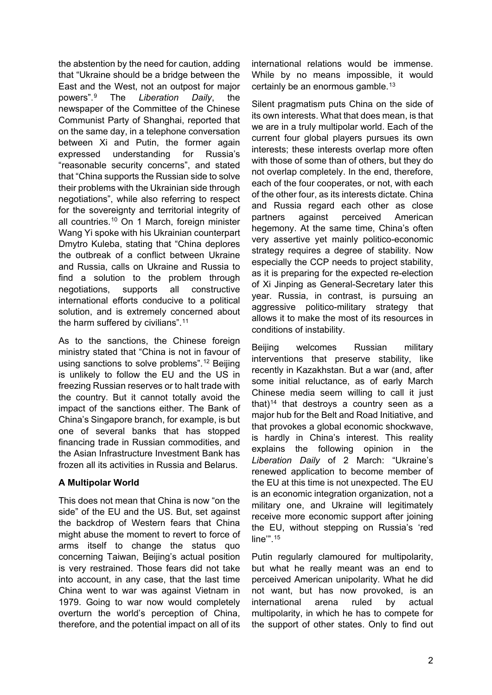the abstention by the need for caution, adding that "Ukraine should be a bridge between the East and the West, not an outpost for major powers".[9](#page-4-8) The *Liberation Daily*, the newspaper of the Committee of the Chinese Communist Party of Shanghai, reported that on the same day, in a telephone conversation between Xi and Putin, the former again expressed understanding for Russia's "reasonable security concerns", and stated that "China supports the Russian side to solve their problems with the Ukrainian side through negotiations", while also referring to respect for the sovereignty and territorial integrity of all countries.[10](#page-4-9) On 1 March, foreign minister Wang Yi spoke with his Ukrainian counterpart Dmytro Kuleba, stating that "China deplores the outbreak of a conflict between Ukraine and Russia, calls on Ukraine and Russia to find a solution to the problem through negotiations, supports all constructive international efforts conducive to a political solution, and is extremely concerned about the harm suffered by civilians".<sup>[11](#page-4-10)</sup>

As to the sanctions, the Chinese foreign ministry stated that "China is not in favour of using sanctions to solve problems".[12](#page-4-11) Beijing is unlikely to follow the EU and the US in freezing Russian reserves or to halt trade with the country. But it cannot totally avoid the impact of the sanctions either. The Bank of China's Singapore branch, for example, is but one of several banks that has stopped financing trade in Russian commodities, and the Asian Infrastructure Investment Bank has frozen all its activities in Russia and Belarus.

#### **A Multipolar World**

This does not mean that China is now "on the side" of the EU and the US. But, set against the backdrop of Western fears that China might abuse the moment to revert to force of arms itself to change the status quo concerning Taiwan, Beijing's actual position is very restrained. Those fears did not take into account, in any case, that the last time China went to war was against Vietnam in 1979. Going to war now would completely overturn the world's perception of China, therefore, and the potential impact on all of its

international relations would be immense. While by no means impossible, it would certainly be an enormous gamble.<sup>[13](#page-4-12)</sup>

Silent pragmatism puts China on the side of its own interests. What that does mean, is that we are in a truly multipolar world. Each of the current four global players pursues its own interests; these interests overlap more often with those of some than of others, but they do not overlap completely. In the end, therefore, each of the four cooperates, or not, with each of the other four, as its interests dictate. China and Russia regard each other as close partners against perceived American hegemony. At the same time, China's often very assertive yet mainly politico-economic strategy requires a degree of stability. Now especially the CCP needs to project stability, as it is preparing for the expected re-election of Xi Jinping as General-Secretary later this year. Russia, in contrast, is pursuing an aggressive politico-military strategy that allows it to make the most of its resources in conditions of instability.

Beijing welcomes Russian military interventions that preserve stability, like recently in Kazakhstan. But a war (and, after some initial reluctance, as of early March Chinese media seem willing to call it just that)<sup>[14](#page-4-13)</sup> that destroys a country seen as a major hub for the Belt and Road Initiative, and that provokes a global economic shockwave, is hardly in China's interest. This reality explains the following opinion in the *Liberation Daily* of 2 March: "Ukraine's renewed application to become member of the EU at this time is not unexpected. The EU is an economic integration organization, not a military one, and Ukraine will legitimately receive more economic support after joining the EU, without stepping on Russia's 'red line'".[15](#page-4-14)

Putin regularly clamoured for multipolarity, but what he really meant was an end to perceived American unipolarity. What he did not want, but has now provoked, is an international arena ruled by actual multipolarity, in which he has to compete for the support of other states. Only to find out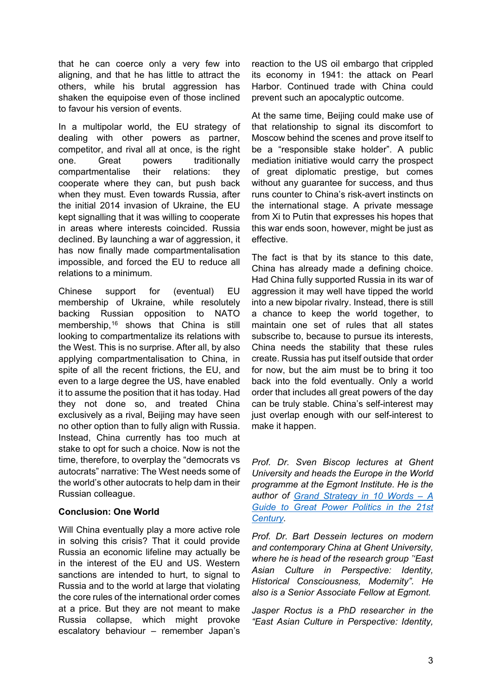that he can coerce only a very few into aligning, and that he has little to attract the others, while his brutal aggression has shaken the equipoise even of those inclined to favour his version of events.

In a multipolar world, the EU strategy of dealing with other powers as partner, competitor, and rival all at once, is the right one. Great powers traditionally compartmentalise their relations: they cooperate where they can, but push back when they must. Even towards Russia, after the initial 2014 invasion of Ukraine, the EU kept signalling that it was willing to cooperate in areas where interests coincided. Russia declined. By launching a war of aggression, it has now finally made compartmentalisation impossible, and forced the EU to reduce all relations to a minimum.

Chinese support for (eventual) EU membership of Ukraine, while resolutely backing Russian opposition to NATO membership,<sup>[16](#page-4-15)</sup> shows that China is still looking to compartmentalize its relations with the West. This is no surprise. After all, by also applying compartmentalisation to China, in spite of all the recent frictions, the EU, and even to a large degree the US, have enabled it to assume the position that it has today. Had they not done so, and treated China exclusively as a rival, Beijing may have seen no other option than to fully align with Russia. Instead, China currently has too much at stake to opt for such a choice. Now is not the time, therefore, to overplay the "democrats vs autocrats" narrative: The West needs some of the world's other autocrats to help dam in their Russian colleague.

#### **Conclusion: One World**

Will China eventually play a more active role in solving this crisis? That it could provide Russia an economic lifeline may actually be in the interest of the EU and US. Western sanctions are intended to hurt, to signal to Russia and to the world at large that violating the core rules of the international order comes at a price. But they are not meant to make Russia collapse, which might provoke escalatory behaviour – remember Japan's

reaction to the US oil embargo that crippled its economy in 1941: the attack on Pearl Harbor. Continued trade with China could prevent such an apocalyptic outcome.

At the same time, Beijing could make use of that relationship to signal its discomfort to Moscow behind the scenes and prove itself to be a "responsible stake holder". A public mediation initiative would carry the prospect of great diplomatic prestige, but comes without any guarantee for success, and thus runs counter to China's risk-avert instincts on the international stage. A private message from Xi to Putin that expresses his hopes that this war ends soon, however, might be just as effective.

The fact is that by its stance to this date, China has already made a defining choice. Had China fully supported Russia in its war of aggression it may well have tipped the world into a new bipolar rivalry. Instead, there is still a chance to keep the world together, to maintain one set of rules that all states subscribe to, because to pursue its interests, China needs the stability that these rules create. Russia has put itself outside that order for now, but the aim must be to bring it too back into the fold eventually. Only a world order that includes all great powers of the day can be truly stable. China's self-interest may just overlap enough with our self-interest to make it happen.

*Prof. Dr. Sven Biscop lectures at Ghent University and heads the Europe in the World programme at the Egmont Institute. He is the author of [Grand Strategy in 10 Words –](https://bristoluniversitypress.co.uk/grand-strategy-in-10-words) A [Guide to Great Power Politics in the 21st](https://bristoluniversitypress.co.uk/grand-strategy-in-10-words)  [Century.](https://bristoluniversitypress.co.uk/grand-strategy-in-10-words)* 

*Prof. Dr. Bart Dessein lectures on modern and contemporary China at Ghent University, where he is head of the research group ''East Asian Culture in Perspective: Identity, Historical Consciousness, Modernity". He also is a Senior Associate Fellow at Egmont.*

*Jasper Roctus is a PhD researcher in the "East Asian Culture in Perspective: Identity,*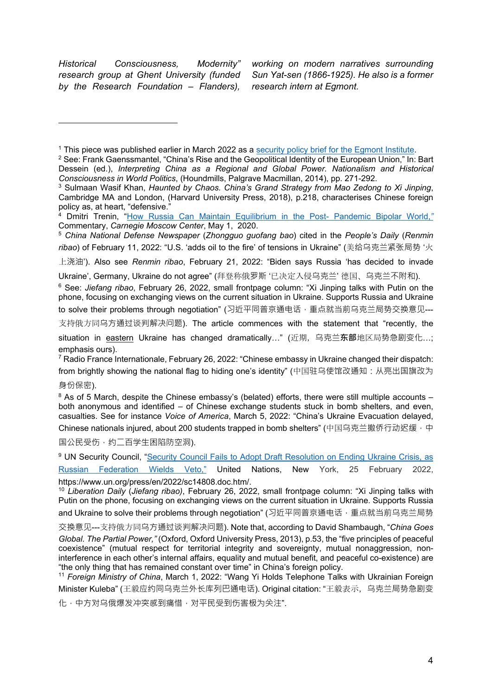*Historical Consciousness, Modernity" research group at Ghent University (funded by the Research Foundation – Flanders),* 

*working on modern narratives surrounding Sun Yat-sen (1866-1925). He also is a former research intern at Egmont.* 

上浇油'). Also see *Renmin ribao*, February 21, 2022: "Biden says Russia 'has decided to invade

Ukraine', Germany, Ukraine do not agree" (拜登称俄罗斯 '已决定入侵乌克兰' 德国、乌克兰不附和).

<sup>6</sup> See: *Jiefang ribao*, February 26, 2022, small frontpage column: "Xi Jinping talks with Putin on the phone, focusing on exchanging views on the current situation in Ukraine. Supports Russia and Ukraine to solve their problems through negotiation" (习近平同普京通电话,重点就当前乌克兰局势交换意见---

支持俄方同乌方通过谈判解决问题). The article commences with the statement that "recently, the

 $7$  Radio France Internationale, February 26, 2022: "Chinese embassy in Ukraine changed their dispatch: from brightly showing the national flag to hiding one's identity" (中国驻乌使馆改通知:从亮出国旗改为

身份保密).

 $8$  As of 5 March, despite the Chinese embassy's (belated) efforts, there were still multiple accounts – both anonymous and identified – of Chinese exchange students stuck in bomb shelters, and even, casualties. See for instance *Voice of America*, March 5, 2022: "China's Ukraine Evacuation delayed,

Chinese nationals injured, about 200 students trapped in bomb shelters" (中国乌克兰撤侨行动迟缓,中 国公民受伤,约二百学生困陷防空洞).

<sup>9</sup> UN Security Council, ["Security Council Fails to Adopt Draft Resolution on Ending Ukraine Crisis, as](https://www.un.org/press/en/2022/sc14808.doc.htm)  [Russian Federation Wields Veto,"](https://www.un.org/press/en/2022/sc14808.doc.htm) United Nations, New York, 25 February 2022, https://www.un.org/press/en/2022/sc14808.doc.htm/.

<sup>10</sup> *Liberation Daily* (*Jiefang ribao)*, February 26, 2022, small frontpage column: "Xi Jinping talks with Putin on the phone, focusing on exchanging views on the current situation in Ukraine. Supports Russia and Ukraine to solve their problems through negotiation" (习近平同普京通电话, 重点就当前乌克兰局势

交换意见---支持俄方同乌方通过谈判解决问题). Note that, according to David Shambaugh, "*China Goes Global. The Partial Power,"* (Oxford, Oxford University Press, 2013), p.53, the "five principles of peaceful coexistence" (mutual respect for territorial integrity and sovereignty, mutual nonaggression, noninterference in each other's internal affairs, equality and mutual benefit, and peaceful co-existence) are "the only thing that has remained constant over time" in China's foreign policy.

<sup>11</sup> *Foreign Ministry of China*, March 1, 2022: "Wang Yi Holds Telephone Talks with Ukrainian Foreign Minister Kuleba" (王毅应约同乌克兰外长库列巴通电话). Original citation: "王毅表示,乌克兰局势急剧变

化,中方对乌俄爆发冲突感到痛惜,对平民受到伤害极为关注".

<sup>1</sup> This piece was published earlier in March 2022 as a [security policy brief for the Egmont Institute.](https://www.egmontinstitute.be/putin-is-creating-the-multipolar-world-he-thought-he-wanted/)

<sup>&</sup>lt;sup>2</sup> See: Frank Gaenssmantel, "China's Rise and the Geopolitical Identity of the European Union," In: Bart Dessein (ed.), *Interpreting China as a Regional and Global Power. Nationalism and Historical Consciousness in World Politics*, (Houndmills, Palgrave Macmillan, 2014), pp. 271-292.

<sup>3</sup> Sulmaan Wasif Khan, *Haunted by Chaos. China's Grand Strategy from Mao Zedong to Xi Jinping*, Cambridge MA and London, (Harvard University Press, 2018), p.218, characterises Chinese foreign policy as, at heart, "defensive."

<sup>4</sup> Dmitri Trenin, ["How Russia Can Maintain Equilibrium in the Post-](https://carnegiemoscow.org/commentary/81702) Pandemic Bipolar World,*"* Commentary, *Carnegie Moscow Center*, May 1, 2020.

<sup>5</sup> *China National Defense Newspaper* (*Zhongguo guofang bao*) cited in the *People's Daily* (*Renmin ribao*) of February 11, 2022: "U.S. 'adds oil to the fire' of tensions in Ukraine" (美给乌克兰紧张局势 '火

situation in eastern Ukraine has changed dramatically…" (近期,乌克兰**东部**地区局势急剧变化…; emphasis ours).